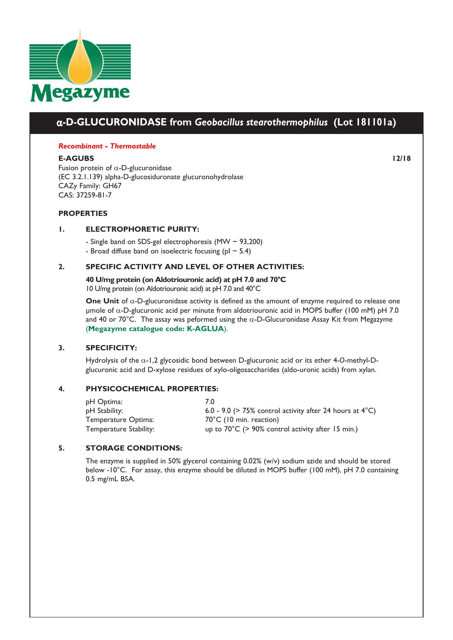

# α**-D-GLUCURONIDASE from** *Geobacillus stearothermophilus* **(Lot 181101a)**

#### *Recombinant - Thermostable*

**E-AGUBS 12/18** Fusion protein of  $\alpha$ -D-glucuronidase (EC 3.2.1.139) alpha-D-glucosiduronate glucuronohydrolase CAZy Family: GH67 CAS: 37259-81-7

### **PROPERTIES**

### **1. ELECTROPHORETIC PURITY:**

- Single band on SDS-gel electrophoresis (MW ~ 93,200)

- Broad diffuse band on isoelectric focusing ( $pI \sim 5.4$ )

### **2. SPECIFIC ACTIVITY AND LEVEL OF OTHER ACTIVITIES:**

**40 U/mg protein (on Aldotriouronic acid) at pH 7.0 and 70°C**  10 U/mg protein (on Aldotriouronic acid) at pH 7.0 and 40°C

**One Unit** of α-D-glucuronidase activity is defined as the amount of enzyme required to release one µmole of  $α$ -D-glucuronic acid per minute from aldotriouronic acid in MOPS buffer (100 mM) pH 7.0 and 40 or 70°C. The assay was peformed using the α-D-Glucuronidase Assay Kit from Megazyme (**[Megazyme catalogue code: K-AGLUA](https://www.megazyme.com/alpha-glucuronidase-assay-kit)**).

### **3. SPECIFICITY:**

Hydrolysis of the α-1,2 glycosidic bond between D-glucuronic acid or its ether 4-*O*-methyl-Dglucuronic acid and D-xylose residues of xylo-oligosaccharides (aldo-uronic acids) from xylan.

### **4. PHYSICOCHEMICAL PROPERTIES:**

| pH Optima:             | 70                                                                 |
|------------------------|--------------------------------------------------------------------|
| pH Stability:          | 6.0 - 9.0 (> 75% control activity after 24 hours at $4^{\circ}$ C) |
| Temperature Optima:    | $70^{\circ}$ C (10 min. reaction)                                  |
| Temperature Stability: | up to $70^{\circ}$ C (> 90% control activity after 15 min.)        |

### **5. STORAGE CONDITIONS:**

The enzyme is supplied in 50% glycerol containing 0.02% (w/v) sodium azide and should be stored below -10°C. For assay, this enzyme should be diluted in MOPS buffer (100 mM), pH 7.0 containing 0.5 mg/mL BSA.